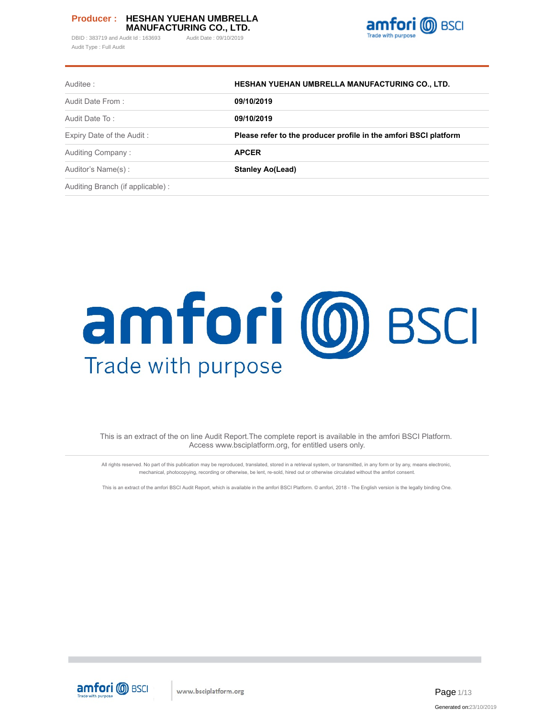DBID: 383719 and Audit Id: 163693 Audit Date: 09/10/2019 Audit Type : Full Audit



| Auditee:                         | HESHAN YUEHAN UMBRELLA MANUFACTURING CO., LTD.                   |
|----------------------------------|------------------------------------------------------------------|
| Audit Date From:                 | 09/10/2019                                                       |
| Audit Date To:                   | 09/10/2019                                                       |
| Expiry Date of the Audit:        | Please refer to the producer profile in the amfori BSCI platform |
| Auditing Company:                | <b>APCER</b>                                                     |
| Auditor's Name(s):               | <b>Stanley Ao(Lead)</b>                                          |
| Auditing Branch (if applicable): |                                                                  |

# amfori (0) BSCI Trade with purpose

This is an extract of the on line Audit Report.The complete report is available in the amfori BSCI Platform. Access www.bsciplatform.org, for entitled users only.

All rights reserved. No part of this publication may be reproduced, translated, stored in a retrieval system, or transmitted, in any form or by any, means electronic, mechanical, photocopying, recording or otherwise, be lent, re-sold, hired out or otherwise circulated without the amfori consent.

This is an extract of the amfori BSCI Audit Report, which is available in the amfori BSCI Platform. © amfori, 2018 - The English version is the legally binding One.

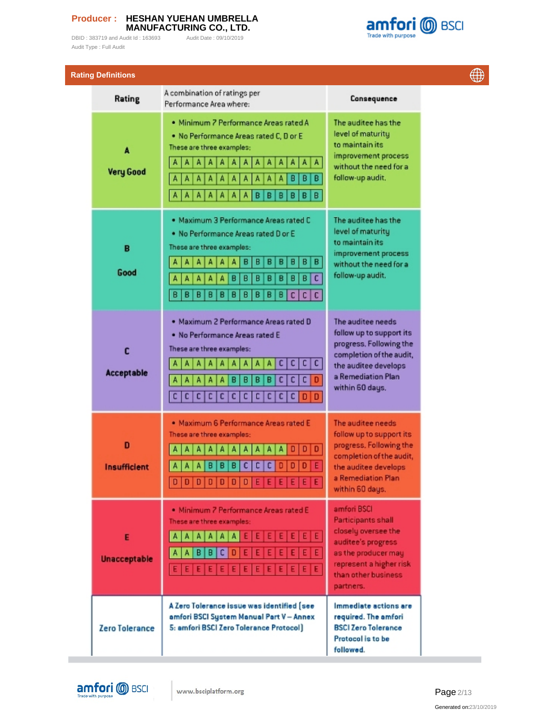Audit Type : Full Audit

DBID : 383719 and Audit Id : 163693 Audit Date : 09/10/2019



| <b>Rating Definitions</b> |                                                                                                                                                                                                                                                                                                                         |                                                                                                                                                                             |  |  |
|---------------------------|-------------------------------------------------------------------------------------------------------------------------------------------------------------------------------------------------------------------------------------------------------------------------------------------------------------------------|-----------------------------------------------------------------------------------------------------------------------------------------------------------------------------|--|--|
| Rating                    | A combination of ratings per<br>Performance Area where:                                                                                                                                                                                                                                                                 | Consequence                                                                                                                                                                 |  |  |
| A<br><b>Very Good</b>     | · Minimum 7 Performance Areas rated A<br>. No Performance Areas rated C, D or E<br>These are three examples:<br>A<br>A<br>A<br>A<br>Α<br>A<br>Α<br>А<br>А<br>  A<br>в<br>в<br>в<br>А<br>в<br>B<br>B<br>в<br>А<br>в<br>в                                                                                                 | The auditee has the<br>level of maturity<br>to maintain its<br>improvement process<br>without the need for a<br>follow-up audit.                                            |  |  |
| B<br>Good                 | . Maximum 3 Performance Areas rated C<br>. No Performance Areas rated D or E<br>These are three examples:<br>в<br>B<br>в<br>B<br>в<br>в<br>в<br>А<br>A<br>A<br>А<br>Δ<br>$\overline{\mathbf{c}}$<br>B<br>в<br>в<br>A<br>B<br>B<br>в<br>Α<br>А<br>в<br>A<br>в<br>B<br>в<br>B<br>В<br>B<br>в<br>B<br>B<br>в<br>c<br>C   C | The auditee has the<br>level of maturity<br>to maintain its<br>improvement process<br>without the need for a<br>follow-up audit.                                            |  |  |
| C<br><b>Acceptable</b>    | . Maximum 2 Performance Areas rated D<br>. No Performance Areas rated E<br>These are three examples:<br>c<br>$\mathsf{c}\,$<br>с<br>c.<br>c<br>c<br>$\mathsf{C}$<br>в<br>в<br>A<br>B<br>B<br>A<br>А<br>Α<br>c c <br> C <br> c <br>c <sub>1</sub><br>$\mathsf{C}$<br> C <br>с<br>$\mathsf{c}\,\vert$<br>c I<br>$D$   $D$ | The auditee needs<br>follow up to support its<br>progress. Following the<br>completion of the audit,<br>the auditee develops<br>a Remediation Plan<br>within 60 days.       |  |  |
| D<br><b>Insufficient</b>  | · Maximum 6 Performance Areas rated E<br>These are three examples:<br>0<br>А<br>А<br>$\Box$<br>c<br>n<br>D<br>Ε<br>B<br>c<br>A<br>Δ<br>в<br>в<br>c<br>$D D D D D D D$<br>E<br>E<br>EE<br>E<br>E                                                                                                                         | The auditee needs<br>follow up to support its<br>progress, Following the<br>completion of the audit,<br>the auditee develops<br>a Remediation Plan<br>within 60 days.       |  |  |
| Е<br><b>Unacceptable</b>  | · Minimum 7 Performance Areas rated E<br>These are three examples:<br>A<br>A<br>А<br>A<br>A<br>$A \mid$<br>A<br>в<br>B<br>A<br>Ε                                                                                                                                                                                        | amfori BSCI<br><b>Participants shall</b><br>closely oversee the<br>auditee's progress<br>as the producer may<br>represent a higher risk<br>than other business<br>partners. |  |  |
| Zero Tolerance            | A Zero Tolerance issue was identified [see<br>amfori BSCI System Manual Part V - Annex<br>5: amfori BSCI Zero Tolerance Protocol]                                                                                                                                                                                       | Immediate actions are<br>required. The amfori<br><b>BSCI Zero Tolerance</b><br>Protocol is to be<br>followed.                                                               |  |  |



**COL** 

Page 2/13 Generated on:23/10/2019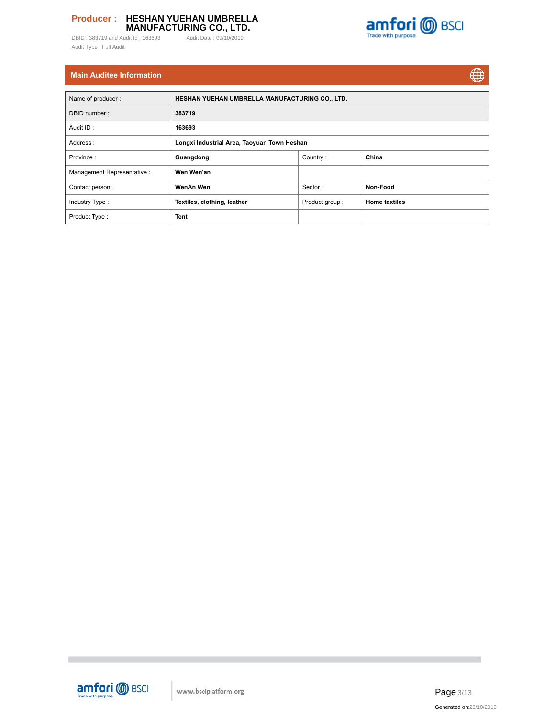DBID : 383719 and Audit Id : 163693 Audit Date : 09/10/2019 Audit Type : Full Audit





# **Main Auditee Information**

| Name of producer:          | HESHAN YUEHAN UMBRELLA MANUFACTURING CO., LTD. |                |                      |  |  |  |  |  |  |  |  |
|----------------------------|------------------------------------------------|----------------|----------------------|--|--|--|--|--|--|--|--|
| DBID number:               | 383719                                         |                |                      |  |  |  |  |  |  |  |  |
| Audit ID:                  | 163693                                         |                |                      |  |  |  |  |  |  |  |  |
| Address:                   | Longxi Industrial Area, Taoyuan Town Heshan    |                |                      |  |  |  |  |  |  |  |  |
| Province:                  | Guangdong                                      | China          |                      |  |  |  |  |  |  |  |  |
| Management Representative: | Wen Wen'an                                     |                |                      |  |  |  |  |  |  |  |  |
| Contact person:            | WenAn Wen                                      | Sector:        | Non-Food             |  |  |  |  |  |  |  |  |
| Industry Type:             | Textiles, clothing, leather                    | Product group: | <b>Home textiles</b> |  |  |  |  |  |  |  |  |
| Product Type:              | <b>Tent</b>                                    |                |                      |  |  |  |  |  |  |  |  |



**The State**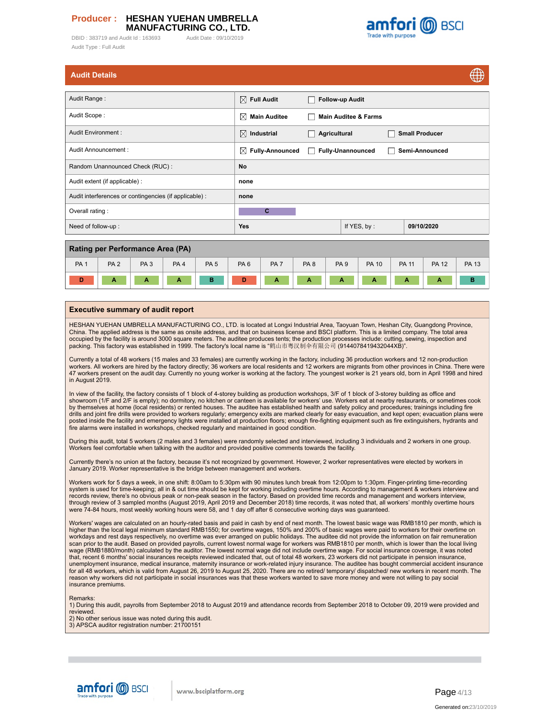DBID: 383719 and Audit Id: 163693 Audit Date: 09/10/2019 Audit Type : Full Audit



| <b>Audit Details</b> |  |  |
|----------------------|--|--|
|                      |  |  |
|                      |  |  |

| Auult Details                                          |                             |                        |                                 |                       | $\oplus$ |
|--------------------------------------------------------|-----------------------------|------------------------|---------------------------------|-----------------------|----------|
| Audit Range:                                           | $\boxtimes$ Full Audit      | $\blacksquare$         | <b>Follow-up Audit</b>          |                       |          |
| Audit Scope:                                           | ⊠<br><b>Main Auditee</b>    |                        | <b>Main Auditee &amp; Farms</b> |                       |          |
| Audit Environment:                                     | $\boxtimes$ Industrial      | Agricultural<br>$\Box$ |                                 | <b>Small Producer</b> |          |
| Audit Announcement:                                    | <b>Fully-Announced</b><br>X | $\Box$                 | <b>Fully-Unannounced</b>        | Semi-Announced        |          |
| Random Unannounced Check (RUC):                        | No                          |                        |                                 |                       |          |
| Audit extent (if applicable) :                         | none                        |                        |                                 |                       |          |
| Audit interferences or contingencies (if applicable) : | none                        |                        |                                 |                       |          |
| Overall rating:                                        | C                           |                        |                                 |                       |          |
| Need of follow-up:                                     | <b>Yes</b>                  |                        | If YES, by:                     | 09/10/2020            |          |
|                                                        |                             |                        |                                 |                       |          |

| <b>Rating per Performance Area (PA)</b> |                 |                 |                 |             |                 |                 |                 |                 |              |              |              |              |
|-----------------------------------------|-----------------|-----------------|-----------------|-------------|-----------------|-----------------|-----------------|-----------------|--------------|--------------|--------------|--------------|
| PA <sub>1</sub>                         | PA <sub>2</sub> | PA <sub>3</sub> | PA <sub>4</sub> | <b>PA 5</b> | PA <sub>6</sub> | PA <sub>7</sub> | PA <sub>8</sub> | PA <sub>9</sub> | <b>PA 10</b> | <b>PA 11</b> | <b>PA 12</b> | <b>PA 13</b> |
| D                                       | Α               | A               | А               |             | D               | A               | . .             |                 | А            | А            | А            |              |

#### **Executive summary of audit report**

HESHAN YUEHAN UMBRELLA MANUFACTURING CO., LTD. is located at Longxi Industrial Area, Taoyuan Town, Heshan City, Guangdong Province, China. The applied address is the same as onsite address, and that on business license and BSCI platform. This is a limited company. The total area occupied by the facility is around 3000 square meters. The auditee produces tents; the production processes include: cutting, sewing, inspection and packing. This factory was established in 1999. The factory's local name is "鹤山市粤汉制伞有限公司 (9144078419432044XB)".

Currently a total of 48 workers (15 males and 33 females) are currently working in the factory, including 36 production workers and 12 non-production workers. All workers are hired by the factory directly; 36 workers are local residents and 12 workers are migrants from other provinces in China. There were 47 workers present on the audit day. Currently no young worker is working at the factory. The youngest worker is 21 years old, born in April 1998 and hired in August 2019.

In view of the facility, the factory consists of 1 block of 4-storey building as production workshops, 3/F of 1 block of 3-storey building as office and<br>showroom (1/F and 2/F is empty); no dormitory, no kitchen or canteen drills and joint fire drills were provided to workers regularly; emergency exits are marked clearly for easy evacuation, and kept open; evacuation plans were posted inside the facility and emergency lights were installed at production floors; enough fire-fighting equipment such as fire extinguishers, hydrants and fire alarms were installed in workshops, checked regularly and maintained in good condition.

During this audit, total 5 workers (2 males and 3 females) were randomly selected and interviewed, including 3 individuals and 2 workers in one group. Workers feel comfortable when talking with the auditor and provided positive comments towards the facility.

Currently there's no union at the factory, because it's not recognized by government. However, 2 worker representatives were elected by workers in January 2019. Worker representative is the bridge between management and workers.

Workers work for 5 days a week, in one shift: 8:00am to 5:30pm with 90 minutes lunch break from 12:00pm to 1:30pm. Finger-printing time-recording system is used for time-keeping; all in & out time should be kept for working including overtime hours. According to management & workers interview and<br>records review, there's no obvious peak or non-peak season in the fact through review of 3 sampled months (August 2019, April 2019 and December 2018) time records, it was noted that, all workers' monthly overtime hours were 74-84 hours, most weekly working hours were 58, and 1 day off after 6 consecutive working days was guaranteed.

Workers' wages are calculated on an hourly-rated basis and paid in cash by end of next month. The lowest basic wage was RMB1810 per month, which is higher than the local legal minimum standard RMB1550; for overtime wages, 150% and 200% of basic wages were paid to workers for their overtime on<br>workdays and rest days respectively, no overtime was ever arranged on public wage (RMB1880/month) calculated by the auditor. The lowest normal wage did not include overtime wage. For social insurance coverage, it was noted that, recent 6 months' social insurances receipts reviewed indicated that, out of total 48 workers, 23 workers did not participate in pension insurance, unemployment insurance, medical insurance, maternity insurance or work-related injury insurance. The auditee has bought commercial accident insurance for all 48 workers, which is valid from August 26, 2019 to August 25, 2020. There are no retired/ temporary/ dispatched/ new workers in recent month. The reason why workers did not participate in social insurances was that these workers wanted to save more money and were not willing to pay social insurance premiums.

**Remarks** 

1) During this audit, payrolls from September 2018 to August 2019 and attendance records from September 2018 to October 09, 2019 were provided and reviewed.

2) No other serious issue was noted during this audit. 3) APSCA auditor registration number: 21700151





 $AB$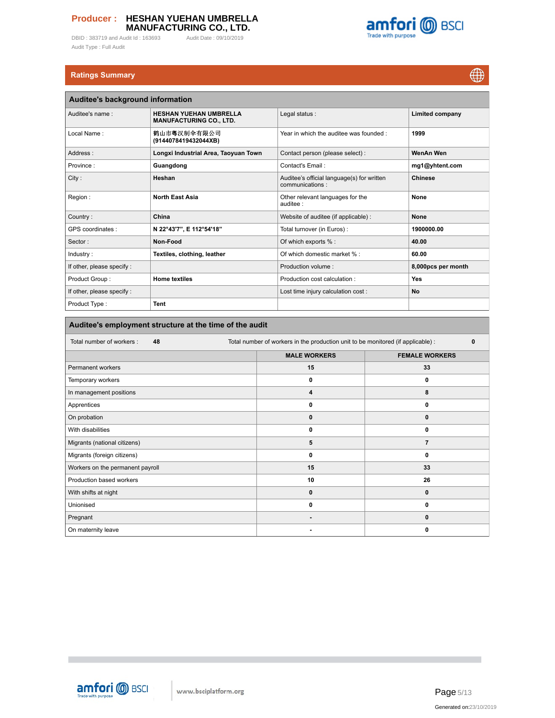DBID : 383719 and Audit Id : 163693 Audit Date : 09/10/2019 Audit Type : Full Audit



# **Ratings Summary**

 $\bigoplus$ 

| Auditee's background information |                                                                 |                                                               |                        |  |  |  |  |  |  |  |
|----------------------------------|-----------------------------------------------------------------|---------------------------------------------------------------|------------------------|--|--|--|--|--|--|--|
| Auditee's name:                  | <b>HESHAN YUEHAN UMBRELLA</b><br><b>MANUFACTURING CO., LTD.</b> | Legal status:                                                 | <b>Limited company</b> |  |  |  |  |  |  |  |
| Local Name:                      | 鹤山市粤汉制伞有限公司<br>(9144078419432044XB)                             | Year in which the auditee was founded:                        | 1999                   |  |  |  |  |  |  |  |
| Address:                         | Longxi Industrial Area, Taoyuan Town                            | Contact person (please select):                               | <b>WenAn Wen</b>       |  |  |  |  |  |  |  |
| Province:                        | Guangdong                                                       | Contact's Email:                                              | mg1@yhtent.com         |  |  |  |  |  |  |  |
| City:                            | Heshan                                                          | Auditee's official language(s) for written<br>communications: | <b>Chinese</b>         |  |  |  |  |  |  |  |
| Region:                          | <b>North East Asia</b>                                          | Other relevant languages for the<br>auditee:                  | None                   |  |  |  |  |  |  |  |
| Country:                         | China                                                           | Website of auditee (if applicable) :                          | <b>None</b>            |  |  |  |  |  |  |  |
| GPS coordinates:                 | N 22°43'7", E 112°54'18"                                        | Total turnover (in Euros) :                                   | 1900000.00             |  |  |  |  |  |  |  |
| Sector:                          | Non-Food                                                        | Of which exports % :                                          | 40.00                  |  |  |  |  |  |  |  |
| Industry:                        | Textiles, clothing, leather                                     | Of which domestic market % :                                  | 60.00                  |  |  |  |  |  |  |  |
| If other, please specify :       |                                                                 | Production volume:                                            | 8,000pcs per month     |  |  |  |  |  |  |  |
| Product Group:                   | <b>Home textiles</b>                                            | Production cost calculation:                                  | Yes                    |  |  |  |  |  |  |  |
| If other, please specify :       |                                                                 | Lost time injury calculation cost :                           | <b>No</b>              |  |  |  |  |  |  |  |
| Product Type:                    | Tent                                                            |                                                               |                        |  |  |  |  |  |  |  |

| Total number of workers:<br>48<br>Total number of workers in the production unit to be monitored (if applicable) :<br><b>MALE WORKERS</b><br><b>FEMALE WORKERS</b><br>15<br>Permanent workers<br>33<br>0<br>Temporary workers<br>0 | Auditee's employment structure at the time of the audit |  |  |  |  |  |  |  |  |  |  |  |
|------------------------------------------------------------------------------------------------------------------------------------------------------------------------------------------------------------------------------------|---------------------------------------------------------|--|--|--|--|--|--|--|--|--|--|--|
|                                                                                                                                                                                                                                    | $\mathbf 0$                                             |  |  |  |  |  |  |  |  |  |  |  |
|                                                                                                                                                                                                                                    |                                                         |  |  |  |  |  |  |  |  |  |  |  |
|                                                                                                                                                                                                                                    |                                                         |  |  |  |  |  |  |  |  |  |  |  |
|                                                                                                                                                                                                                                    |                                                         |  |  |  |  |  |  |  |  |  |  |  |
| In management positions<br>8<br>4                                                                                                                                                                                                  |                                                         |  |  |  |  |  |  |  |  |  |  |  |
| Apprentices<br>0<br>0                                                                                                                                                                                                              |                                                         |  |  |  |  |  |  |  |  |  |  |  |
| On probation<br>$\mathbf 0$<br>0                                                                                                                                                                                                   |                                                         |  |  |  |  |  |  |  |  |  |  |  |
| With disabilities<br>0<br>0                                                                                                                                                                                                        |                                                         |  |  |  |  |  |  |  |  |  |  |  |
| Migrants (national citizens)<br>5<br>$\overline{7}$                                                                                                                                                                                |                                                         |  |  |  |  |  |  |  |  |  |  |  |
| Migrants (foreign citizens)<br>0<br>0                                                                                                                                                                                              |                                                         |  |  |  |  |  |  |  |  |  |  |  |
| Workers on the permanent payroll<br>15<br>33                                                                                                                                                                                       |                                                         |  |  |  |  |  |  |  |  |  |  |  |
| Production based workers<br>10<br>26                                                                                                                                                                                               |                                                         |  |  |  |  |  |  |  |  |  |  |  |
| With shifts at night<br>$\mathbf 0$<br>0                                                                                                                                                                                           |                                                         |  |  |  |  |  |  |  |  |  |  |  |
| Unionised<br>0<br>0                                                                                                                                                                                                                |                                                         |  |  |  |  |  |  |  |  |  |  |  |
| Pregnant<br>0<br>-                                                                                                                                                                                                                 |                                                         |  |  |  |  |  |  |  |  |  |  |  |
| On maternity leave<br>0<br>۰                                                                                                                                                                                                       |                                                         |  |  |  |  |  |  |  |  |  |  |  |



 $\overline{\phantom{a}}$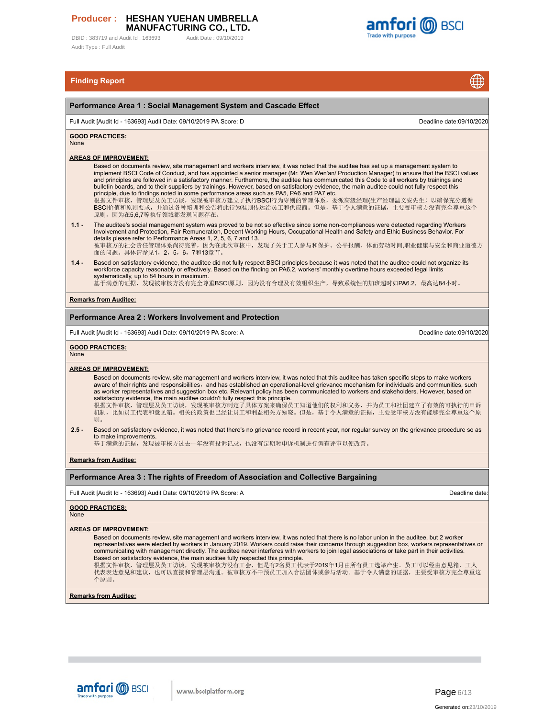DBID : 383719 and Audit Id : 163693 Audit Date : 09/10/2019 Audit Type : Full Audit



 $\sqrt{2}$ 

# **Finding Report**

|                    | <b>Finding Report</b><br>₩                                                                                                                                                                                                                                                                                                                                                                                                                                                                                                                                                                                                                                                                                                                                                                                                                                                  |
|--------------------|-----------------------------------------------------------------------------------------------------------------------------------------------------------------------------------------------------------------------------------------------------------------------------------------------------------------------------------------------------------------------------------------------------------------------------------------------------------------------------------------------------------------------------------------------------------------------------------------------------------------------------------------------------------------------------------------------------------------------------------------------------------------------------------------------------------------------------------------------------------------------------|
|                    | Performance Area 1: Social Management System and Cascade Effect                                                                                                                                                                                                                                                                                                                                                                                                                                                                                                                                                                                                                                                                                                                                                                                                             |
|                    | Full Audit [Audit Id - 163693] Audit Date: 09/10/2019 PA Score: D<br>Deadline date:09/10/2020                                                                                                                                                                                                                                                                                                                                                                                                                                                                                                                                                                                                                                                                                                                                                                               |
| None               | <b>GOOD PRACTICES:</b>                                                                                                                                                                                                                                                                                                                                                                                                                                                                                                                                                                                                                                                                                                                                                                                                                                                      |
|                    | <u>AREAS OF IMPROVEMENT:</u><br>Based on documents review, site management and workers interview, it was noted that the auditee has set up a management system to<br>implement BSCI Code of Conduct, and has appointed a senior manager (Mr. Wen Wen'an/ Production Manager) to ensure that the BSCI values<br>and principles are followed in a satisfactory manner. Furthermore, the auditee has communicated this Code to all workers by trainings and<br>bulletin boards, and to their suppliers by trainings. However, based on satisfactory evidence, the main auditee could not fully respect this<br>principle, due to findings noted in some performance areas such as PA5, PA6 and PA7 etc.<br>根据文件审核,管理层及员工访谈,发现被审核方建立了执行BSCI行为守则的管理体系,委派高级经理(生产经理温文安先生)以确保充分遵循<br>BSCI价值和原则要求,并通过各种培训和公告将此行为准则传达给员工和供应商。但是,基于令人满意的证据,主要受审核方没有完全尊重这个<br>原则, 因为在5.6.7等执行领域都发现问题存在。 |
| $1.1 -$<br>$1.4 -$ | The auditee's social management system was proved to be not so effective since some non-compliances were detected regarding Workers<br>Involvement and Protection, Fair Remuneration, Decent Working Hours, Occupational Health and Safety and Ethic Business Behavior. For<br>details please refer to Performance Areas 1, 2, 5, 6, 7 and 13.<br>被审核方的社会责任管理体系尚待完善,因为在此次审核中,发现了关于工人参与和保护、公平报酬、体面劳动时间,职业健康与安全和商业道德方<br>面的问题。具体请参见1, 2, 5, 6, 7和13章节。<br>Based on satisfactory evidence, the auditee did not fully respect BSCI principles because it was noted that the auditee could not organize its                                                                                                                                                                                                                                                                      |
|                    | workforce capacity reasonably or effectively. Based on the finding on PA6.2, workers' monthly overtime hours exceeded legal limits<br>systematically, up to 84 hours in maximum.<br>基于满意的证据, 发现被审核方没有完全尊重BSCI原则, 因为没有合理及有效组织生产, 导致系统性的加班超时如PA6.2, 最高达84小时。                                                                                                                                                                                                                                                                                                                                                                                                                                                                                                                                                                                                                  |
|                    | <b>Remarks from Auditee:</b>                                                                                                                                                                                                                                                                                                                                                                                                                                                                                                                                                                                                                                                                                                                                                                                                                                                |
|                    | Performance Area 2 : Workers Involvement and Protection                                                                                                                                                                                                                                                                                                                                                                                                                                                                                                                                                                                                                                                                                                                                                                                                                     |
|                    | Full Audit [Audit Id - 163693] Audit Date: 09/10/2019 PA Score: A<br>Deadline date:09/10/2020                                                                                                                                                                                                                                                                                                                                                                                                                                                                                                                                                                                                                                                                                                                                                                               |
| None               | <u>GOOD PRACTICES:</u>                                                                                                                                                                                                                                                                                                                                                                                                                                                                                                                                                                                                                                                                                                                                                                                                                                                      |
|                    | <u>AREAS OF IMPROVEMENT:</u><br>Based on documents review, site management and workers interview, it was noted that this auditee has taken specific steps to make workers<br>aware of their rights and responsibilities, and has established an operational-level grievance mechanism for individuals and communities, such<br>as worker representatives and suggestion box etc. Relevant policy has been communicated to workers and stakeholders. However, based on<br>satisfactory evidence, the main auditee couldn't fully respect this principle.<br>根据文件审核,管理层及员工访谈,发现被审核方制定了具体方案来确保员工知道他们的权利和义务,并为员工和社团建立了有效的可执行的申诉<br>机制,比如员工代表和意见箱。相关的政策也已经让员工和利益相关方知晓。但是,基于令人满意的证据,主要受审核方没有能够完全尊重这个原<br>则。                                                                                                                                                                       |
| $2.5 -$            | Based on satisfactory evidence, it was noted that there's no grievance record in recent year, nor regular survey on the grievance procedure so as<br>to make improvements.<br>基于满意的证据,发现被审核方过去一年没有投诉记录,也没有定期对申诉机制进行调查评审以便改善。                                                                                                                                                                                                                                                                                                                                                                                                                                                                                                                                                                                                                                                |
|                    | <b>Remarks from Auditee:</b>                                                                                                                                                                                                                                                                                                                                                                                                                                                                                                                                                                                                                                                                                                                                                                                                                                                |
|                    | Performance Area 3 : The rights of Freedom of Association and Collective Bargaining                                                                                                                                                                                                                                                                                                                                                                                                                                                                                                                                                                                                                                                                                                                                                                                         |
|                    | Full Audit [Audit Id - 163693] Audit Date: 09/10/2019 PA Score: A<br>Deadline date:                                                                                                                                                                                                                                                                                                                                                                                                                                                                                                                                                                                                                                                                                                                                                                                         |
| None               | <b>GOOD PRACTICES:</b>                                                                                                                                                                                                                                                                                                                                                                                                                                                                                                                                                                                                                                                                                                                                                                                                                                                      |
|                    | <u>AREAS OF IMPROVEMENT:</u><br>Based on documents review, site management and workers interview, it was noted that there is no labor union in the auditee, but 2 worker<br>representatives were elected by workers in January 2019. Workers could raise their concerns through suggestion box, workers representatives or<br>communicating with management directly. The auditee never interferes with workers to join legal associations or take part in their activities.<br>Based on satisfactory evidence, the main auditee fully respected this principle.<br>根据文件审核, 管理层及员工访谈, 发现被审核方没有工会, 但是有2名员工代表于2019年1月由所有员工选举产生。员工可以经由意见箱, 工人<br>代表表达意见和建议,也可以直接和管理层沟通。被审核方不干预员工加入合法团体或参与活动。基于令人满意的证据,主要受审核方完全尊重这<br>个原则。                                                                                                                                                      |
|                    | <b>Remarks from Auditee:</b>                                                                                                                                                                                                                                                                                                                                                                                                                                                                                                                                                                                                                                                                                                                                                                                                                                                |
|                    |                                                                                                                                                                                                                                                                                                                                                                                                                                                                                                                                                                                                                                                                                                                                                                                                                                                                             |

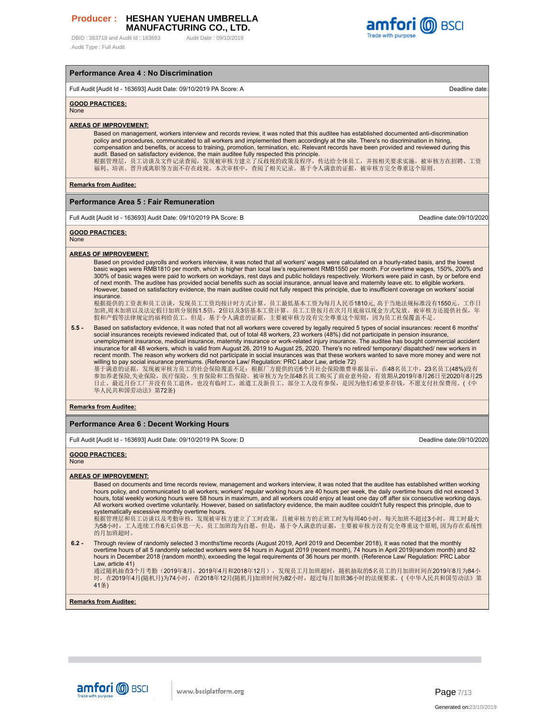DBID: 383719 and Audit Id: 163693 Audit Date: 09/10/2019 Audit Type : Full Audit



## **Performance Area 4 : No Discrimination**

Full Audit [Audit Id - 163693] Audit Date: 09/10/2019 PA Score: A Deadline date:

## **GOOD PRACTICES:**

None

## **AREAS OF IMPROVEMENT:**

Based on management, workers interview and records review, it was noted that this auditee has established documented anti-discrimination policy and procedures, communicated to all workers and implemented them accordingly at the site. There's no discrimination in hiring, compensation and benefits, or access to training, promotion, termination, etc. Relevant records have been provided and reviewed during this audit. Based on satisfactory evidence, the main auditee fully respected this principle.<br>根据管理层,员工访谈及文件记录查阅,发现被审核方建立了反歧视的政策及程序,传达给全体员工,并按相关要求实施。被审核方在招聘、工资 福利、培训、晋升或离职等方面不存在歧视。本次审核中,查阅了相关记录。基于令人满意的证据,被审核方完全尊重这个原则。

**Remarks from Auditee:**

#### **Performance Area 5 : Fair Remuneration**

Full Audit [Audit Id - 163693] Audit Date: 09/10/2019 PA Score: B Deadline date:09/10/2020

**GOOD PRACTICES:**

#### **None**

#### **AREAS OF IMPROVEMENT:**

Based on provided payrolls and workers interview, it was noted that all workers' wages were calculated on a hourly-rated basis, and the lowest basic wages were RMB1810 per month, which is higher than local law's requirement RMB1550 per month. For overtime wages, 150%, 200% and 300% of basic wages were paid to workers on workdays, rest days and public holidays respectively. Workers were paid in cash, by or before end of next month. The auditee has provided social benefits such as social insurance, annual leave and maternity leave etc. to eligible workers. However, based on satisfactory evidence, the main auditee could not fully respect this principle, due to insufficient coverage on workers' social insurance.

根据提供的工资表和员工访谈,发现员工工资均按计时方式计算。员工最低基本工资为每月人民币1810元, 高于当地法规标准没有1550元。工作日 加班,周末加班以及法定假日加班分别按1.5倍,2倍以及3倍基本工资计算。员工工资按月在次月月底前以现金方式发放。被审核方还提供社保,年 假和产假等法律规定的福利给员工。但是,基于令人满意的证据,主要被审核方没有完全尊重这个原则,因为员工社保覆盖不足。

**5.5 -** Based on satisfactory evidence, it was noted that not all workers were covered by legally required 5 types of social insurances: recent 6 months' social insurances receipts reviewed indicated that, out of total 48 workers, 23 workers (48%) did not participate in pension insurance, unemployment insurance, medical insurance, maternity insurance or work-related injury insurance. The auditee has bought commercial accident<br>insurance for all 48 workers, which is valid from August 26, 2019 to August 25, 20 recent month. The reason why workers did not participate in social insurances was that these workers wanted to save more money and were not willing to pay social insurance premiums. (Reference Law/ Regulation: PRC Labor Law, article 72)

基于满意的证据,发现被审核方员工的社会保险覆盖不足: 根据厂方提供的近6个月社会保险缴费单据显示,在48名员工中,23名员工(48%)没有<br>参加养老保险,失业保险,医疗保险,生育保险和工伤保险。被审核方为全部48名员工购买了商业意外险,有效期从2019年8月26日至2020年8月25<br>日止。最近月份工厂并没有员工退休,也没有临时工,派遣工及新员工。部分工人没有参保,是因为他们希望多存钱,不愿支付社保费用。(《中 华人民共和国劳动法》第72条)

#### **Remarks from Auditee:**

## **Performance Area 6 : Decent Working Hours**

Full Audit [Audit Id - 163693] Audit Date: 09/10/2019 PA Score: D Deadline date:09/10/2020

#### **GOOD PRACTICES:** None

# **AREAS OF IMPROVEMENT:**

Based on documents and time records review, management and workers interview, it was noted that the auditee has established written working<br>hours policy, and communicated to all workers; workers' regular working hours are hours, total weekly working hours were 58 hours in maximum, and all workers could enjoy at least one day off after six consecutive working days.<br>All workers worked overtime voluntarily. However, based on satisfactory evide systematically escessive monthly overtime hours.

根据管理层和员工访谈以及考勤审核,发现被审核方建立了工时政策,且被审核方的正班工时为每周40小时,每天加班不超过3小时,周工时最大 为58小时,工人连续工作6天后休息一天。员工加班均为自愿。但是,基于令人满意的证据,主要被审核方没有完全尊重这个原则, 因为存在系统性 的月加班超时。

**6.2 -** Through review of randomly selected 3 months'time records (August 2019, April 2019 and December 2018), it was noted that the monthly overtime hours of all 5 randomly selected workers were 84 hours in August 2019 (recent month), 74 hours in April 2019(random month) and 82 hours in December 2018 (random month), exceeding the legal requirements of 36 hours per month. (Reference Law/ Regulation: PRC Labor Law, article 41)

通过随机抽查3个月考勤(2019年8月,2019年4月和2018年12月),发现员工月加班超时:随机抽取的5名员工的月加班时间在2019年8月为84小 |<br>时,在2019年4月(随机月)为74小时,在2018年12月(随机月)加班时间为82小时,超过每月加班36小时的法规要求。(《中华人民共和国劳动法》第 41条)

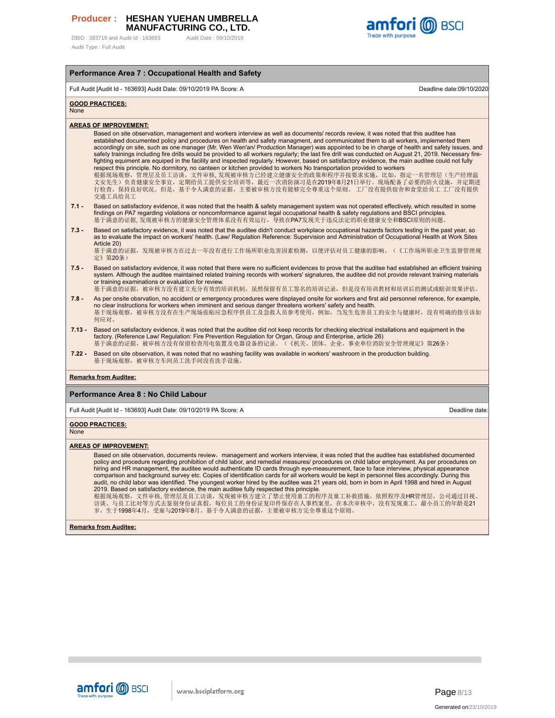DBID: 383719 and Audit Id: 163693 Audit Date: 09/10/2019 Audit Type : Full Audit



## **Performance Area 7 : Occupational Health and Safety** Full Audit [Audit Id - 163693] Audit Date: 09/10/2019 PA Score: A Deadline date:09/10/2020 **GOOD PRACTICES:** None **AREAS OF IMPROVEMENT:** Based on site observation, management and workers interview as well as documents/ records review, it was noted that this auditee has established documented policy and procedures on health and safety managment, and communicated them to all workers, implemented them accordingly on site, such as one manager (Mr. Wen Wen'an/ Production Manager) was appointed to be in charge of health and safety issues, and safety trainings including fire drills would be provided to all workers regularly; the last fire drill was conducted on August 21, 2019. Necessary firefighting equiment are equiped in the facility and inspected regularly. However, based on satisfactory evidence, the main auditee could not fully respect this principle. No dormitory, no canteen or kitchen provided to workers No transportation provided to workers 根据现场观察,管理层及员工访谈,文件审核, 发现被审核方已经建立健康安全的政策和程序并按要求实施,比如,指定一名管理层(生产经理温 文安先生)负责健康安全事宜,定期给员工提供安全培训等,最近一次消防演习是在2019年8月21日举行。现场配备了必要的防火设施,并定期进 行检查,保持良好状况。但是,基于令人满意的证据,主要被审核方没有能够完全尊重这个原则。 工厂没有提供宿舍和食堂给员工 工厂没有提供 交通工具给员工 **7.1 -** Based on satisfactory evidence, it was noted that the health & safety management system was not operated effectively, which resulted in some findings on PA7 regarding violations or noncomformance against legal occupational health & safety regulations and BSCI principles. 基于满意的证据, 发现被审核方的健康安全管理体系没有有效运行,导致在PA7发现关于违反法定的职业健康安全和BSCI原则的问题。 **7.3 -** Based on satisfactory evidence, it was noted that the auditee didn't conduct workplace occupational hazards factors testing in the past year, so as to evaluate the impact on workers' health. (Law/ Regulation Reference: Supervision and Administration of Occupational Health at Work Sites Article 20) 基于满意的证据,发现被审核方在过去一年没有进行工作场所职业危害因素检测,以便评估对员工健康的影响。(《工作场所职业卫生监督管理规 定》第20条) **7.5 -** Based on satisfactory evidence, it was noted that there were no sufficient evidences to prove that the auditee had established an efficient training system. Although the auditee maintained related training records with workers' signatures, the auditee did not provide relevant training materials or training examinations or evaluation for review. 基于满意的证据, 被审核方没有建立充分有效的培训机制, 虽然保留有员工签名的培训记录, 但是没有培训教材和培训后的测试或赔训效果评估。 **7.8 -** As per onsite obsrvation, no accident or emergency procedures were displayed onsite for workers and first aid personnel reference, for example, no clear instructions for workers when imminent and serious danger threatens workers' safety and health. 基于现场观察,被审核方没有在生产现场张贴应急程序供员工及急救人员参考使用,例如,当发生危害员工的安全与健康时,没有明确的指引该如 何应对。 **7.13 -** Based on satisfactory evidence, it was noted that the auditee did not keep records for checking electrical installations and equipment in the factory. (Reference Law/ Regulation: Fire Prevention Regulation for Organ, Group and Enterprise, article 26) 基于满意的证据,被审核方没有保留检查用电装置及电器设备的记录。(《机关、团体、企业、事业单位消防安全管理规定》第26条) **7.22 -** Based on site observation, it was noted that no washing facility was available in workers' washroom in the production building. 基于现场观察,被审核方车间员工洗手间没有洗手设施。 **Remarks from Auditee: Performance Area 8 : No Child Labour** Full Audit [Audit Id - 163693] Audit Date: 09/10/2019 PA Score: A Deadline date: **GOOD PRACTICES:** None

#### **AREAS OF IMPROVEMENT:**

Based on site observation, documents review, management and workers interview, it was noted that the auditee has established documented policy and procedure regarding prohibition of child labor, and remedial measures/ procedures on child labor employment. As per procedures on hiring and HR management, the auditee would authenticate ID cards through eye-measurement, face to face interview, physical appearance comparison and background survey etc. Copies of identification cards for all workers would be kept in personnel files accordingly. During this audit, no child labor was identified. The youngest worker hired by the auditee was 21 years old, born in born in April 1998 and hired in August

2019. Based on satisfactory evidence, the main auditee fully respected this principle.<br>根据现场观察,文件审核, 管理层及员工访谈,发现被审核方建立了禁止保用查工的档案序及童工补教措施。依照程序及HR管理层,公司通过目视、<br>访谈、与员工比对等方式去鉴别身份证真假。每位员工的身份证复印件保存在人事档案里。在本次审核中,没有发现童工,最小员工的年龄是21<br>岁

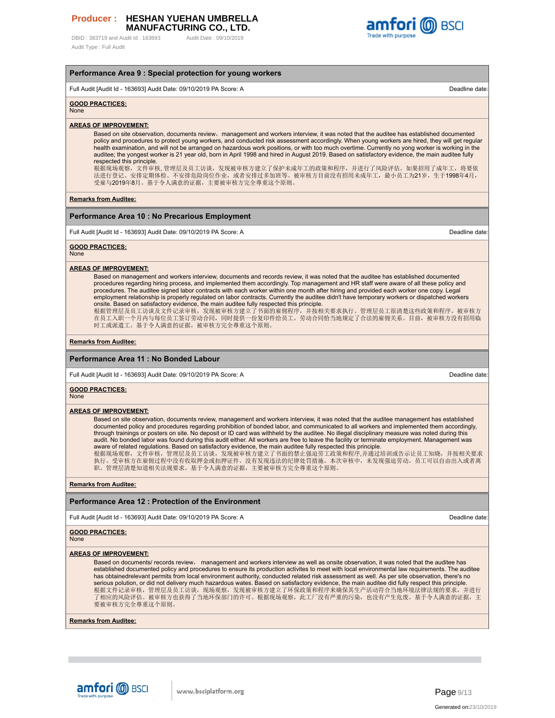DBID: 383719 and Audit Id: 163693 Audit Date: 09/10/2019 Audit Type : Full Audit



#### **Performance Area 9 : Special protection for young workers**

Full Audit [Audit Id - 163693] Audit Date: 09/10/2019 PA Score: A Deadline date:

#### **GOOD PRACTICES:**

None

#### **AREAS OF IMPROVEMENT:**

Based on site observation, documents review, management and workers interview, it was noted that the auditee has established documented policy and procedures to protect young workers, and conducted risk assessment accordingly. When young workers are hired, they will get regular health examination, and will not be arranged on hazardous work positions, or with too much overtime. Currently no yong worker is working in the auditee; the yongest worker is 21 year old, born in April 1998 and hired in August 2019. Based on satisfactory evidence, the main auditee fully respected this principle.

根据现场观察,文件审核, 管理层及员工访谈,发现被审核方建立了保护未成年工的政策和程序,并进行了风险评估。如果招用了成年工,将要依<br>法进行登记、安排定期体检、不安排危险岗位作业,或者安排过多加班等。被审核方目前没有招用未成年工,最小员工为21岁,生于1998年4月,<br>受雇与2019年8月。基于令人满意的证据,主要被审核方完全尊重这个原则。

**Remarks from Auditee:**

#### **Performance Area 10 : No Precarious Employment**

Full Audit [Audit Id - 163693] Audit Date: 09/10/2019 PA Score: A Deadline date: 09/10/2019 PA Score: A Deadline date

**GOOD PRACTICES:**

None

#### **AREAS OF IMPROVEMENT:**

Based on management and workers interview, documents and records review, it was noted that the auditee has established documented procedures regarding hiring process, and implemented them accordingly. Top management and HR staff were aware of all these policy and<br>procedures. The auditee signed labor contracts with each worker within one month after h employment relationship is properly regulated on labor contracts. Currently the auditee didn't have temporary workers or dispatched workers onsite. Based on satisfactory evidence, the main auditee fully respected this principle. 根据管理层及员工访谈及文件记录审核,发现被审核方建立了书面的雇佣程序,并按相关要求执行。管理层员工很清楚这些政策和程序。被审核方 |<br>在员工入职一个月内与每位员工签订劳动合同,同时提供一份复印件给员工。劳动合同恰当地规定了合法的雇佣关系。目前,被审核方没有招用临

时工或派遣工。基于令人满意的证据,被审核方完全尊重这个原则。

#### **Remarks from Auditee:**

#### **Performance Area 11 : No Bonded Labour**

Full Audit [Audit Id - 163693] Audit Date: 09/10/2019 PA Score: A Deadline date:

## **GOOD PRACTICES:**

None

#### **AREAS OF IMPROVEMENT:**

Based on site observation, documents review, management and workers interview, it was noted that the auditee management has established documented policy and procedures regarding prohibition of bonded labor, and communicated to all workers and implemented them accordingly, through trainings or posters on site. No deposit or ID card was withheld by the auditee. No illegal disciplinary measure was noted during this audit. No bonded labor was found during this audit either. All workers are free to leave the facility or terminate employment. Management was aware of related regulations. Based on satisfactory evidence, the main auditee fully respected this principle. 根据现场观察,文件审核,管理层及员工访谈,发现被审核方建立了书面的禁止强迫劳工政策和程序,并通过培训或告示让员工知晓,并按相关要求

执行。受审核方在雇佣过程中没有收取押金或扣押证件。没有发现违法的纪律处罚措施。本次审核中,未发现强迫劳动。员工可以自由出入或者离 职。管理层清楚知道相关法规要求。基于令人满意的证据,主要被审核方完全尊重这个原则。

## **Remarks from Auditee:**

## **Performance Area 12 : Protection of the Environment**

Full Audit [Audit Id - 163693] Audit Date: 09/10/2019 PA Score: A Deadline date:

#### **GOOD PRACTICES:**

None

#### **AREAS OF IMPROVEMENT:**

Based on documents/ records review, management and workers interview as well as onsite observation, it was noted that the auditee has established documented policy and procedures to ensure its production activites to meet with local environmental law requirements. The auditee has obtainedrelevant permits from local environment authority, conducted related risk assessment as well. As per site observation, there's no serious polution, or did not delivery much hazardous wates. Based on satisfactory evidence, the main auditee did fully respect this principle. 根据文件记录审核,管理层及员工访谈,现场观察,发现被审核方建立了环保政策和程序来确保其生产活动符合当地环境法律法规的要求,并进行 了相应的风险评估。被审核方也获得了当地环保部门的许可。根据现场观察,此工厂没有严重的污染,也没有产生危废。基于令人满意的证据,主 要被审核方完全尊重这个原则。

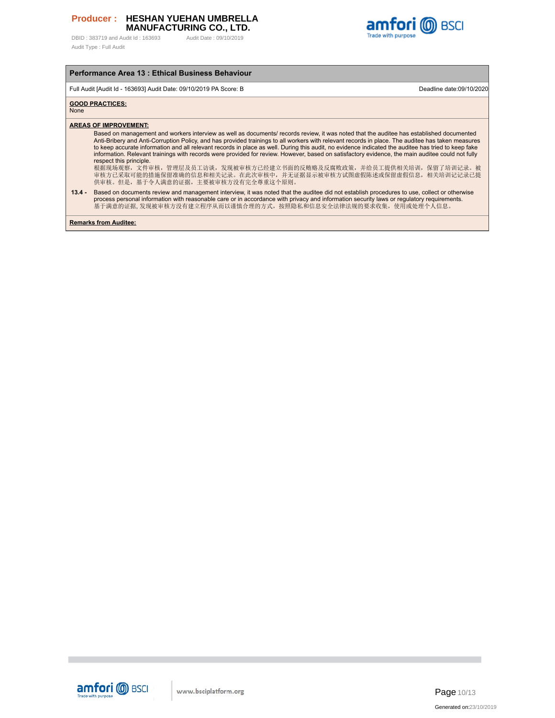DBID: 383719 and Audit Id: 163693 Audit Date: 09/10/2019 Audit Type : Full Audit



## **Performance Area 13 : Ethical Business Behaviour**

Full Audit [Audit Id - 163693] Audit Date: 09/10/2019 PA Score: B Deadline date:09/10/2020

## **GOOD PRACTICES:**

None

# **AREAS OF IMPROVEMENT:**

Based on management and workers interview as well as documents/ records review, it was noted that the auditee has established documented Anti-Bribery and Anti-Corruption Policy, and has provided trainings to all workers with relevant records in place. The auditee has taken measures to keep accurate information and all relevant records in place as well. During this audit, no evidence indicated the auditee has tried to keep fake information. Relevant trainings with records were provided for review. However, based on satisfactory evidence, the main auditee could not fully respect this principle.

根据现场观察,文件审核,管理层及员工访谈,发现被审核方已经建立书面的反贿赂及反腐败政策,并给员工提供相关培训,保留了培训记录。被 审核方已采取可能的措施保留准确的信息和相关记录。在此次审核中,并无证据显示被审核方试图虚假陈述或保留虚假信息,相关培训记记录已提 供审核。但是,基于令人满意的证据,主要被审核方没有完全尊重这个原则。

#### **13.4 -** Based on documents review and management interview, it was noted that the auditee did not establish procedures to use, collect or otherwise process personal information with reasonable care or in accordance with privacy and information security laws or regulatory requirements. 基于满意的证据, 发现被审核方没有建立程序从而以谨慎合理的方式,按照隐私和信息安全法律法规的要求收集,使用或处理个人信息。

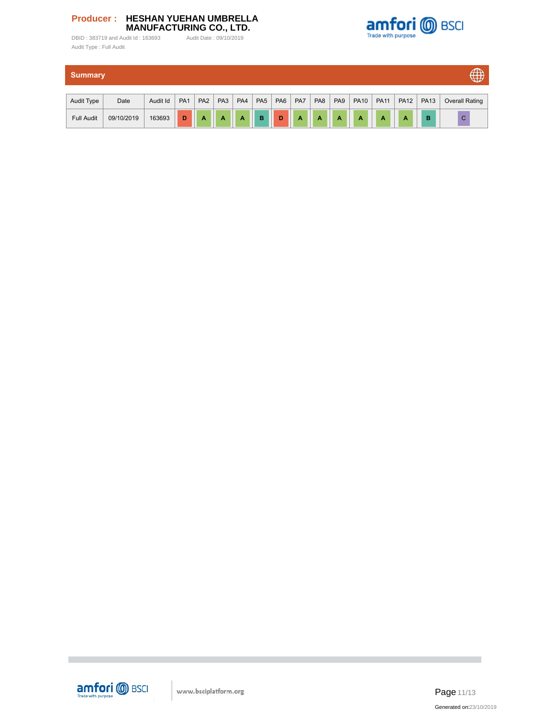



| <b>Summary</b>    |            |          |                 |                 |                 |                 |                 |                 |                |                | $\oplus$        |             |             |             |             |                |
|-------------------|------------|----------|-----------------|-----------------|-----------------|-----------------|-----------------|-----------------|----------------|----------------|-----------------|-------------|-------------|-------------|-------------|----------------|
| Audit Type        | Date       | Audit Id | PA <sub>1</sub> | PA <sub>2</sub> | PA <sub>3</sub> | PA <sub>4</sub> | PA <sub>5</sub> | PA <sub>6</sub> | PA7            | PA8            | PA <sub>9</sub> | <b>PA10</b> | <b>PA11</b> | <b>PA12</b> | <b>PA13</b> | Overall Rating |
|                   |            |          |                 |                 |                 |                 |                 |                 |                |                |                 |             |             |             |             |                |
| <b>Full Audit</b> | 09/10/2019 | 163693   | D               | $\overline{A}$  | A               | A               | B               | D               | $\overline{A}$ | $\overline{A}$ | $\overline{A}$  | A           | A           | A           | B           | $\mathsf C$    |



٠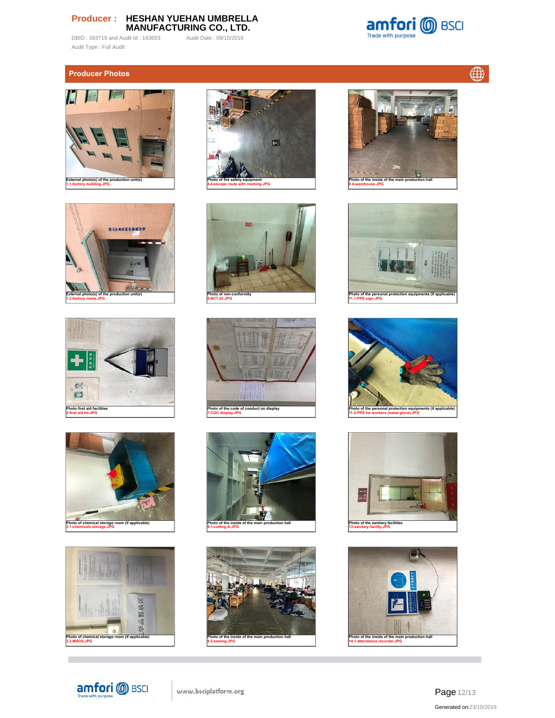DBID : 383719 and Audit Id : 163693 Audit Date : 09/10/2019 Audit Type : Full Audit



 $\bigoplus$ 

# **Producer Photos**